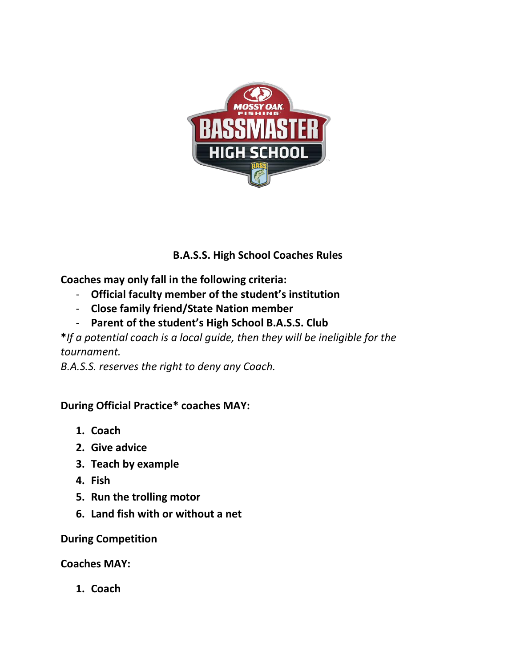

## **B.A.S.S. High School Coaches Rules**

**Coaches may only fall in the following criteria:**

- **Official faculty member of the student's institution**
- **Close family friend/State Nation member**
- **Parent of the student's High School B.A.S.S. Club**

**\****If a potential coach is a local guide, then they will be ineligible for the tournament.*

*B.A.S.S. reserves the right to deny any Coach.* 

## **During Official Practice\* coaches MAY:**

- **1. Coach**
- **2. Give advice**
- **3. Teach by example**
- **4. Fish**
- **5. Run the trolling motor**
- **6. Land fish with or without a net**

**During Competition**

**Coaches MAY:**

**1. Coach**